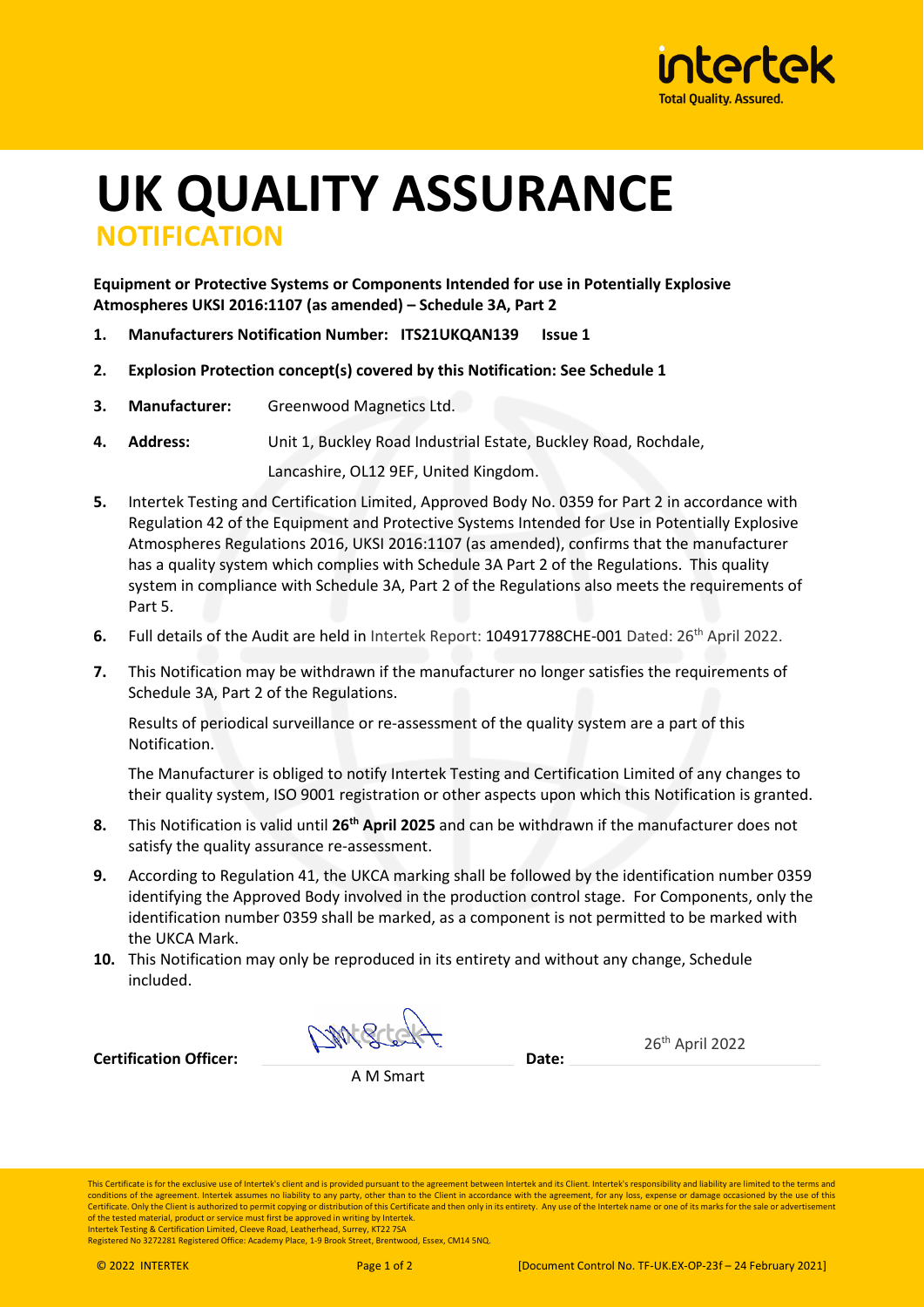

## **UK QUALITY ASSURANCE NOTIFICATION**

**Equipment or Protective Systems or Components Intended for use in Potentially Explosive Atmospheres UKSI 2016:1107 (as amended) – Schedule 3A, Part 2**

- **1. Manufacturers Notification Number: ITS21UKQAN139 Issue 1**
- **2. Explosion Protection concept(s) covered by this Notification: See Schedule 1**
- **3. Manufacturer:** Greenwood Magnetics Ltd.
- **4. Address:** Unit 1, Buckley Road Industrial Estate, Buckley Road, Rochdale,

Lancashire, OL12 9EF, United Kingdom.

- **5.** Intertek Testing and Certification Limited, Approved Body No. 0359 for Part 2 in accordance with Regulation 42 of the Equipment and Protective Systems Intended for Use in Potentially Explosive Atmospheres Regulations 2016, UKSI 2016:1107 (as amended), confirms that the manufacturer has a quality system which complies with Schedule 3A Part 2 of the Regulations. This quality system in compliance with Schedule 3A, Part 2 of the Regulations also meets the requirements of Part 5.
- **6.** Full details of the Audit are held in Intertek Report: 104917788CHE-001 Dated: 26<sup>th</sup> April 2022.
- **7.** This Notification may be withdrawn if the manufacturer no longer satisfies the requirements of Schedule 3A, Part 2 of the Regulations.

Results of periodical surveillance or re-assessment of the quality system are a part of this Notification.

The Manufacturer is obliged to notify Intertek Testing and Certification Limited of any changes to their quality system, ISO 9001 registration or other aspects upon which this Notification is granted.

- **8.** This Notification is valid until **26th April 2025** and can be withdrawn if the manufacturer does not satisfy the quality assurance re-assessment.
- **9.** According to Regulation 41, the UKCA marking shall be followed by the identification number 0359 identifying the Approved Body involved in the production control stage. For Components, only the identification number 0359 shall be marked, as a component is not permitted to be marked with the UKCA Mark.
- **10.** This Notification may only be reproduced in its entirety and without any change, Schedule included.

DMSC

**Certification Officer: Date:**

A M Smart

This Certificate is for the exclusive use of Intertek's client and is provided pursuant to the agreement between Intertek and its Client. Intertek's responsibility and liability are limited to the terms and conditions of the agreement. Intertek assumes no liability to any party, other than to the Client in accordance with the agreement, for any loss, expense or damage occasioned by the use of this<br>Certificate. Only the Client of the tested material, product or service must first be approved in writing by Intertek. Intertek Testing & Certification Limited, Cleeve Road, Leatherhead, Surrey, KT22 7SA

Registered No 3272281 Registered Office: Academy Place, 1-9 Brook Street, Brentwood, Essex, CM14 5NQ.

26th April 2022